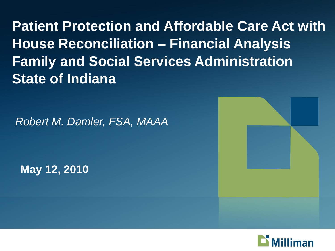**Patient Protection and Affordable Care Act with House Reconciliation – Financial Analysis Family and Social Services Administration State of Indiana** 

*Robert M. Damler, FSA, MAAA*

**May 12, 2010**



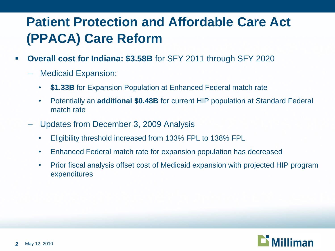# **Patient Protection and Affordable Care Act (PPACA) Care Reform**

- **Overall cost for Indiana: \$3.58B** for SFY 2011 through SFY 2020
	- Medicaid Expansion:
		- **\$1.33B** for Expansion Population at Enhanced Federal match rate
		- Potentially an **additional \$0.48B** for current HIP population at Standard Federal match rate
	- Updates from December 3, 2009 Analysis
		- Eligibility threshold increased from 133% FPL to 138% FPL
		- Enhanced Federal match rate for expansion population has decreased
		- Prior fiscal analysis offset cost of Medicaid expansion with projected HIP program expenditures

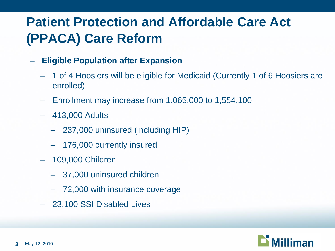# **Patient Protection and Affordable Care Act (PPACA) Care Reform**

- **Eligible Population after Expansion**
	- 1 of 4 Hoosiers will be eligible for Medicaid (Currently 1 of 6 Hoosiers are enrolled)
	- Enrollment may increase from 1,065,000 to 1,554,100
	- 413,000 Adults
		- 237,000 uninsured (including HIP)
		- 176,000 currently insured
	- 109,000 Children
		- 37,000 uninsured children
		- 72,000 with insurance coverage
	- 23,100 SSI Disabled Lives

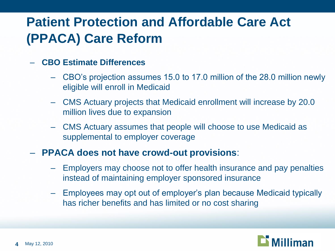# **Patient Protection and Affordable Care Act (PPACA) Care Reform**

### – **CBO Estimate Differences**

- CBO's projection assumes 15.0 to 17.0 million of the 28.0 million newly eligible will enroll in Medicaid
- CMS Actuary projects that Medicaid enrollment will increase by 20.0 million lives due to expansion
- CMS Actuary assumes that people will choose to use Medicaid as supplemental to employer coverage

### – **PPACA does not have crowd-out provisions**:

- Employers may choose not to offer health insurance and pay penalties instead of maintaining employer sponsored insurance
- Employees may opt out of employer's plan because Medicaid typically has richer benefits and has limited or no cost sharing

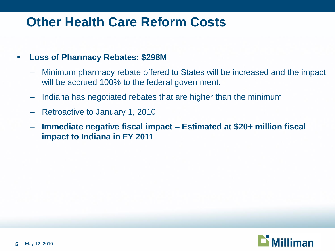### **Other Health Care Reform Costs**

### **Loss of Pharmacy Rebates: \$298M**

- Minimum pharmacy rebate offered to States will be increased and the impact will be accrued 100% to the federal government.
- Indiana has negotiated rebates that are higher than the minimum
- Retroactive to January 1, 2010
- **Immediate negative fiscal impact – Estimated at \$20+ million fiscal impact to Indiana in FY 2011**

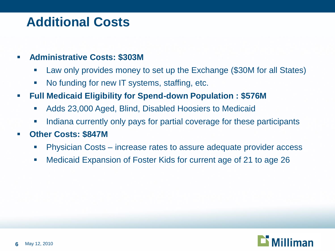### **Additional Costs**

- **Administrative Costs: \$303M**
	- Law only provides money to set up the Exchange (\$30M for all States)
	- No funding for new IT systems, staffing, etc.
- **Full Medicaid Eligibility for Spend-down Population : \$576M**
	- Adds 23,000 Aged, Blind, Disabled Hoosiers to Medicaid
	- Indiana currently only pays for partial coverage for these participants
- **Other Costs: \$847M**
	- Physician Costs increase rates to assure adequate provider access
	- Medicaid Expansion of Foster Kids for current age of 21 to age 26